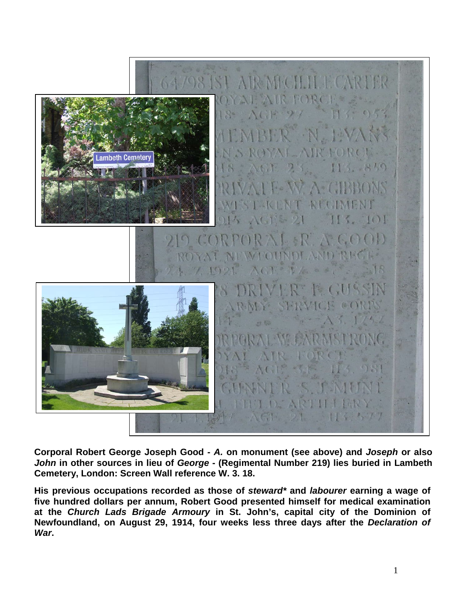

**Corporal Robert George Joseph Good -** *A.* **on monument (see above) and** *Joseph* **or also**  *John* **in other sources in lieu of** *George* **- (Regimental Number 219) lies buried in Lambeth Cemetery, London: Screen Wall reference W. 3. 18.**

**His previous occupations recorded as those of** *steward\** **and** *labourer* **earning a wage of five hundred dollars per annum, Robert Good presented himself for medical examination at the** *Church Lads Brigade Armoury* **in St. John's, capital city of the Dominion of Newfoundland, on August 29, 1914, four weeks less three days after the** *Declaration of War***.**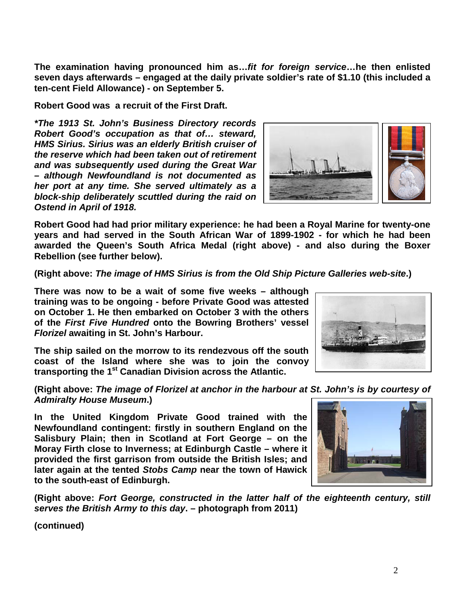2

**The examination having pronounced him as…***fit for foreign service***…he then enlisted seven days afterwards – engaged at the daily private soldier's rate of \$1.10 (this included a ten-cent Field Allowance) - on September 5.**

**Robert Good was a recruit of the First Draft.** 

*\*The 1913 St. John's Business Directory records Robert Good's occupation as that of… steward, HMS Sirius. Sirius was an elderly British cruiser of the reserve which had been taken out of retirement and was subsequently used during the Great War – although Newfoundland is not documented as her port at any time. She served ultimately as a block-ship deliberately scuttled during the raid on Ostend in April of 1918.*

**Robert Good had had prior military experience: he had been a Royal Marine for twenty-one years and had served in the South African War of 1899-1902 - for which he had been awarded the Queen's South Africa Medal (right above) - and also during the Boxer Rebellion (see further below).**

**(Right above:** *The image of HMS Sirius is from the Old Ship Picture Galleries web-site***.)**

**There was now to be a wait of some five weeks – although training was to be ongoing - before Private Good was attested on October 1. He then embarked on October 3 with the others of the** *First Five Hundred* **onto the Bowring Brothers' vessel**  *Florizel* **awaiting in St. John's Harbour.**

**The ship sailed on the morrow to its rendezvous off the south coast of the Island where she was to join the convoy transporting the 1st Canadian Division across the Atlantic.**

**(Right above:** *The image of Florizel at anchor in the harbour at St. John's is by courtesy of Admiralty House Museum***.)**

**In the United Kingdom Private Good trained with the Newfoundland contingent: firstly in southern England on the Salisbury Plain; then in Scotland at Fort George – on the Moray Firth close to Inverness; at Edinburgh Castle – where it provided the first garrison from outside the British Isles; and later again at the tented** *Stobs Camp* **near the town of Hawick to the south-east of Edinburgh.**

**(Right above:** *Fort George, constructed in the latter half of the eighteenth century, still serves the British Army to this day***. – photograph from 2011)**



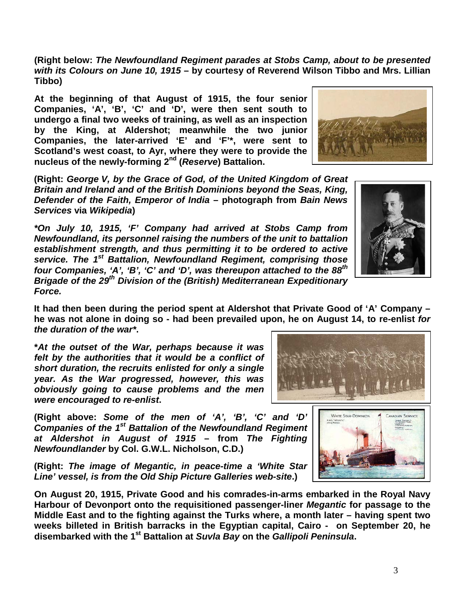3

**(Right below:** *The Newfoundland Regiment parades at Stobs Camp, about to be presented with its Colours on June 10, 1915* **– by courtesy of Reverend Wilson Tibbo and Mrs. Lillian Tibbo)**

**At the beginning of that August of 1915, the four senior Companies, 'A', 'B', 'C' and 'D', were then sent south to undergo a final two weeks of training, as well as an inspection by the King, at Aldershot; meanwhile the two junior Companies, the later-arrived 'E' and 'F'\*, were sent to Scotland's west coast, to Ayr, where they were to provide the nucleus of the newly-forming 2nd (***Reserve***) Battalion.**

**(Right:** *George V, by the Grace of God, of the United Kingdom of Great Britain and Ireland and of the British Dominions beyond the Seas, King, Defender of the Faith, Emperor of India* **– photograph from** *Bain News Services* **via** *Wikipedia***)**

*\*On July 10, 1915, 'F' Company had arrived at Stobs Camp from Newfoundland, its personnel raising the numbers of the unit to battalion establishment strength, and thus permitting it to be ordered to active service. The 1st Battalion, Newfoundland Regiment, comprising those four Companies, 'A', 'B', 'C' and 'D', was thereupon attached to the 88th Brigade of the 29th Division of the (British) Mediterranean Expeditionary Force.*

**It had then been during the period spent at Aldershot that Private Good of 'A' Company – he was not alone in doing so - had been prevailed upon, he on August 14, to re-enlist** *for the duration of the war\****.**

**\****At the outset of the War, perhaps because it was felt by the authorities that it would be a conflict of short duration, the recruits enlisted for only a single year. As the War progressed, however, this was obviously going to cause problems and the men were encouraged to re-enlist***.**

**(Right above:** *Some of the men of 'A', 'B', 'C' and 'D' Companies of the 1st Battalion of the Newfoundland Regiment at Aldershot in August of 1915* **– from** *The Fighting Newfoundlander* **by Col. G.W.L. Nicholson, C.D.)**

**(Right:** *The image of Megantic, in peace-time a 'White Star Line' vessel, is from the Old Ship Picture Galleries web-site***.)**

**On August 20, 1915, Private Good and his comrades-in-arms embarked in the Royal Navy Harbour of Devonport onto the requisitioned passenger-liner** *Megantic* **for passage to the Middle East and to the fighting against the Turks where, a month later – having spent two weeks billeted in British barracks in the Egyptian capital, Cairo - on September 20, he disembarked with the 1st Battalion at** *Suvla Bay* **on the** *Gallipoli Peninsula***.** 





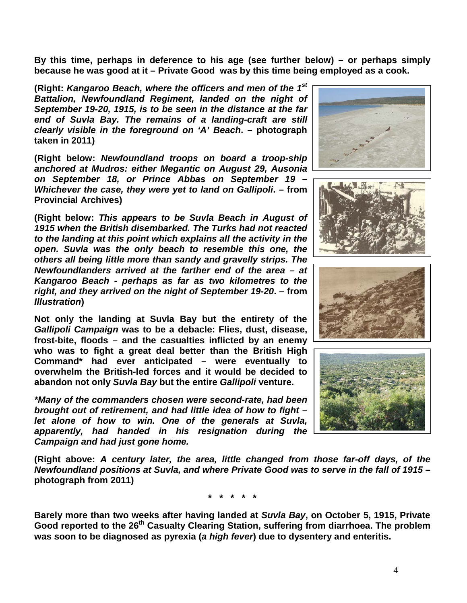**By this time, perhaps in deference to his age (see further below) – or perhaps simply because he was good at it – Private Good was by this time being employed as a cook.**

**(Right:** *Kangaroo Beach, where the officers and men of the 1st Battalion, Newfoundland Regiment, landed on the night of September 19-20, 1915, is to be seen in the distance at the far end of Suvla Bay. The remains of a landing-craft are still clearly visible in the foreground on 'A' Beach***. – photograph taken in 2011)**

**(Right below:** *Newfoundland troops on board a troop-ship anchored at Mudros: either Megantic on August 29, Ausonia on September 18, or Prince Abbas on September 19 – Whichever the case, they were yet to land on Gallipoli***. – from Provincial Archives)**

**(Right below:** *This appears to be Suvla Beach in August of 1915 when the British disembarked. The Turks had not reacted to the landing at this point which explains all the activity in the open. Suvla was the only beach to resemble this one, the others all being little more than sandy and gravelly strips. The Newfoundlanders arrived at the farther end of the area – at Kangaroo Beach - perhaps as far as two kilometres to the right, and they arrived on the night of September 19-20***. – from**  *Illustration***)**

**Not only the landing at Suvla Bay but the entirety of the** *Gallipoli Campaign* **was to be a debacle: Flies, dust, disease, frost-bite, floods – and the casualties inflicted by an enemy who was to fight a great deal better than the British High Command\* had ever anticipated – were eventually to overwhelm the British-led forces and it would be decided to abandon not only** *Suvla Bay* **but the entire** *Gallipoli* **venture.**

*\*Many of the commanders chosen were second-rate, had been brought out of retirement, and had little idea of how to fight – let alone of how to win. One of the generals at Suvla, apparently, had handed in his resignation during the Campaign and had just gone home.* 

**(Right above:** *A century later, the area, little changed from those far-off days, of the Newfoundland positions at Suvla, and where Private Good was to serve in the fall of 1915* **– photograph from 2011)**

**\* \* \* \* \***

**Barely more than two weeks after having landed at** *Suvla Bay***, on October 5, 1915, Private Good reported to the 26th Casualty Clearing Station, suffering from diarrhoea. The problem was soon to be diagnosed as pyrexia (***a high fever***) due to dysentery and enteritis.** 







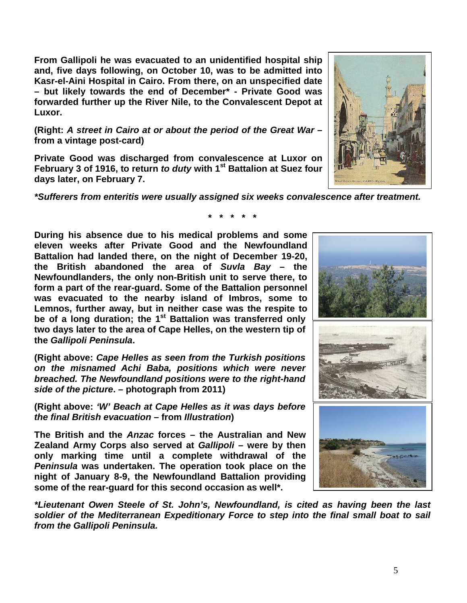**From Gallipoli he was evacuated to an unidentified hospital ship and, five days following, on October 10, was to be admitted into Kasr-el-Aini Hospital in Cairo. From there, on an unspecified date – but likely towards the end of December\* - Private Good was forwarded further up the River Nile, to the Convalescent Depot at Luxor.**

**(Right:** *A street in Cairo at or about the period of the Great War* **– from a vintage post-card)**

**Private Good was discharged from convalescence at Luxor on February 3 of 1916, to return** *to duty* **with 1st Battalion at Suez four days later, on February 7.**

*\*Sufferers from enteritis were usually assigned six weeks convalescence after treatment.*

**During his absence due to his medical problems and some eleven weeks after Private Good and the Newfoundland Battalion had landed there, on the night of December 19-20, the British abandoned the area of** *Suvla Bay* **– the Newfoundlanders, the only non-British unit to serve there, to form a part of the rear-guard. Some of the Battalion personnel was evacuated to the nearby island of Imbros, some to Lemnos, further away, but in neither case was the respite to**  be of a long duration; the 1<sup>st</sup> Battalion was transferred only **two days later to the area of Cape Helles, on the western tip of the** *Gallipoli Peninsula***.**

**(Right above:** *Cape Helles as seen from the Turkish positions on the misnamed Achi Baba, positions which were never breached. The Newfoundland positions were to the right-hand side of the picture***. – photograph from 2011)**

**(Right above:** *'W' Beach at Cape Helles as it was days before the final British evacuation* **– from** *Illustration***)**

**The British and the** *Anzac* **forces – the Australian and New Zealand Army Corps also served at** *Gallipoli* **– were by then only marking time until a complete withdrawal of the**  *Peninsula* **was undertaken. The operation took place on the night of January 8-9, the Newfoundland Battalion providing some of the rear-guard for this second occasion as well\*.**

*\*Lieutenant Owen Steele of St. John's, Newfoundland, is cited as having been the last soldier of the Mediterranean Expeditionary Force to step into the final small boat to sail from the Gallipoli Peninsula.* 

5







**\* \* \* \* \***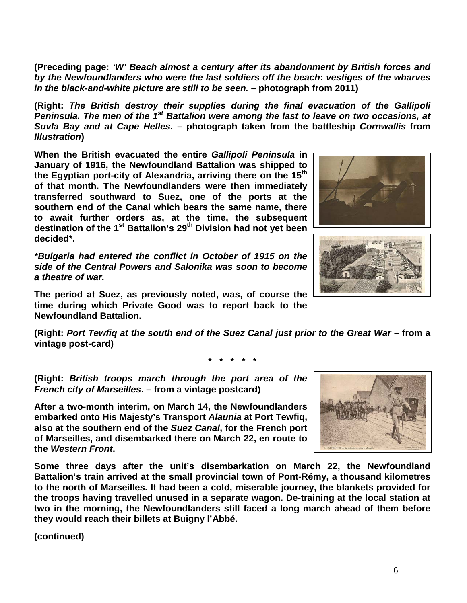6

**(Preceding page:** *'W' Beach almost a century after its abandonment by British forces and by the Newfoundlanders who were the last soldiers off the beach***:** *vestiges of the wharves in the black-and-white picture are still to be seen.* **– photograph from 2011)**

**(Right:** *The British destroy their supplies during the final evacuation of the Gallipoli Peninsula. The men of the 1st Battalion were among the last to leave on two occasions, at Suvla Bay and at Cape Helles***. – photograph taken from the battleship** *Cornwallis* **from**  *Illustration***)**

**When the British evacuated the entire** *Gallipoli Peninsula* **in January of 1916, the Newfoundland Battalion was shipped to the Egyptian port-city of Alexandria, arriving there on the 15th of that month. The Newfoundlanders were then immediately transferred southward to Suez, one of the ports at the southern end of the Canal which bears the same name, there to await further orders as, at the time, the subsequent destination of the 1st Battalion's 29th Division had not yet been decided\*.**

*\*Bulgaria had entered the conflict in October of 1915 on the side of the Central Powers and Salonika was soon to become a theatre of war.*

**The period at Suez, as previously noted, was, of course the time during which Private Good was to report back to the Newfoundland Battalion.**

**(Right:** *Port Tewfiq at the south end of the Suez Canal just prior to the Great War* **– from a vintage post-card)**

**\* \* \* \* \***

**(Right:** *British troops march through the port area of the French city of Marseilles***. – from a vintage postcard)**

**After a two-month interim, on March 14, the Newfoundlanders embarked onto His Majesty's Transport** *Alaunia* **at Port Tewfiq, also at the southern end of the** *Suez Canal***, for the French port of Marseilles, and disembarked there on March 22, en route to the** *Western Front***.** 

**Some three days after the unit's disembarkation on March 22, the Newfoundland Battalion's train arrived at the small provincial town of Pont-Rémy, a thousand kilometres to the north of Marseilles. It had been a cold, miserable journey, the blankets provided for the troops having travelled unused in a separate wagon. De-training at the local station at two in the morning, the Newfoundlanders still faced a long march ahead of them before they would reach their billets at Buigny l'Abbé.**





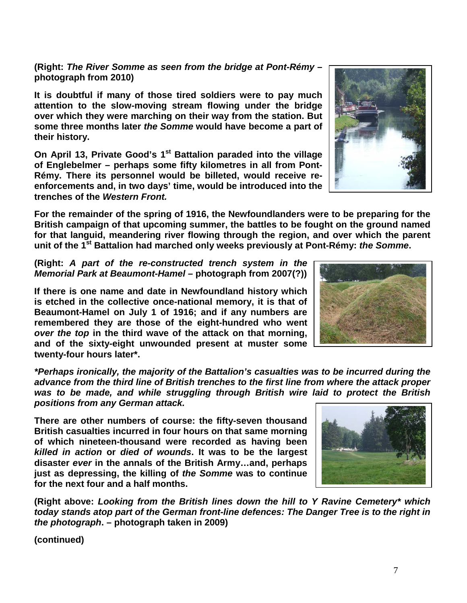**(Right:** *The River Somme as seen from the bridge at Pont-Rémy* **– photograph from 2010)**

**It is doubtful if many of those tired soldiers were to pay much attention to the slow-moving stream flowing under the bridge over which they were marching on their way from the station. But some three months later** *the Somme* **would have become a part of their history.**

**On April 13, Private Good's 1st Battalion paraded into the village of Englebelmer – perhaps some fifty kilometres in all from Pont-Rémy. There its personnel would be billeted, would receive reenforcements and, in two days' time, would be introduced into the trenches of the** *Western Front.*

**For the remainder of the spring of 1916, the Newfoundlanders were to be preparing for the British campaign of that upcoming summer, the battles to be fought on the ground named for that languid, meandering river flowing through the region, and over which the parent unit of the 1st Battalion had marched only weeks previously at Pont-Rémy:** *the Somme***.** 

**(Right:** *A part of the re-constructed trench system in the Memorial Park at Beaumont-Hamel –* **photograph from 2007(?))**

**If there is one name and date in Newfoundland history which is etched in the collective once-national memory, it is that of Beaumont-Hamel on July 1 of 1916; and if any numbers are remembered they are those of the eight-hundred who went**  *over the top* **in the third wave of the attack on that morning, and of the sixty-eight unwounded present at muster some twenty-four hours later\*.**

*\*Perhaps ironically, the majority of the Battalion's casualties was to be incurred during the advance from the third line of British trenches to the first line from where the attack proper was to be made, and while struggling through British wire laid to protect the British positions from any German attack.*

**There are other numbers of course: the fifty-seven thousand British casualties incurred in four hours on that same morning of which nineteen-thousand were recorded as having been**  *killed in action* **or** *died of wounds***. It was to be the largest disaster** *ever* **in the annals of the British Army…and, perhaps just as depressing, the killing of** *the Somme* **was to continue for the next four and a half months.**

**(Right above:** *Looking from the British lines down the hill to Y Ravine Cemetery\* which today stands atop part of the German front-line defences: The Danger Tree is to the right in the photograph***. – photograph taken in 2009)**





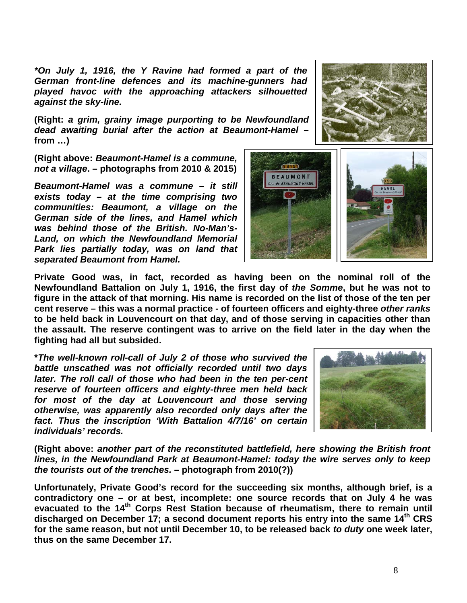*\*On July 1, 1916, the Y Ravine had formed a part of the German front-line defences and its machine-gunners had played havoc with the approaching attackers silhouetted against the sky-line.*

**(Right:** *a grim, grainy image purporting to be Newfoundland dead awaiting burial after the action at Beaumont-Hamel –* **from …)**

**(Right above:** *Beaumont-Hamel is a commune, not a village***. – photographs from 2010 & 2015)**

*Beaumont-Hamel was a commune – it still exists today – at the time comprising two communities: Beaumont, a village on the German side of the lines, and Hamel which was behind those of the British. No-Man's-Land, on which the Newfoundland Memorial Park lies partially today, was on land that separated Beaumont from Hamel.*



**Private Good was, in fact, recorded as having been on the nominal roll of the Newfoundland Battalion on July 1, 1916, the first day of** *the Somme***, but he was not to figure in the attack of that morning. His name is recorded on the list of those of the ten per cent reserve – this was a normal practice - of fourteen officers and eighty-three** *other ranks* **to be held back in Louvencourt on that day, and of those serving in capacities other than the assault. The reserve contingent was to arrive on the field later in the day when the fighting had all but subsided.**

**\****The well-known roll-call of July 2 of those who survived the battle unscathed was not officially recorded until two days later. The roll call of those who had been in the ten per-cent reserve of fourteen officers and eighty-three men held back for most of the day at Louvencourt and those serving otherwise, was apparently also recorded only days after the fact. Thus the inscription 'With Battalion 4/7/16' on certain individuals' records.*



**(Right above:** *another part of the reconstituted battlefield, here showing the British front lines, in the Newfoundland Park at Beaumont-Hamel: today the wire serves only to keep the tourists out of the trenches.* **– photograph from 2010(?))**

**Unfortunately, Private Good's record for the succeeding six months, although brief, is a contradictory one – or at best, incomplete: one source records that on July 4 he was evacuated to the 14th Corps Rest Station because of rheumatism, there to remain until**  discharged on December 17; a second document reports his entry into the same 14<sup>th</sup> CRS **for the same reason, but not until December 10, to be released back** *to duty* **one week later, thus on the same December 17.**

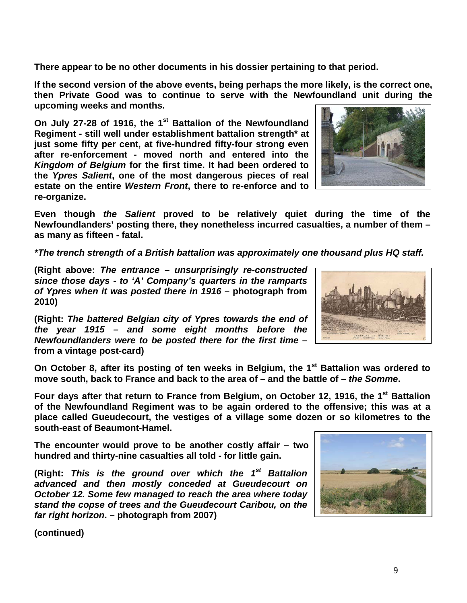**There appear to be no other documents in his dossier pertaining to that period.**

**If the second version of the above events, being perhaps the more likely, is the correct one, then Private Good was to continue to serve with the Newfoundland unit during the upcoming weeks and months.** 

**On July 27-28 of 1916, the 1st Battalion of the Newfoundland Regiment - still well under establishment battalion strength\* at just some fifty per cent, at five-hundred fifty-four strong even after re-enforcement - moved north and entered into the**  *Kingdom of Belgium* **for the first time. It had been ordered to the** *Ypres Salient***, one of the most dangerous pieces of real estate on the entire** *Western Front***, there to re-enforce and to re-organize.** 



**Even though** *the Salient* **proved to be relatively quiet during the time of the Newfoundlanders' posting there, they nonetheless incurred casualties, a number of them – as many as fifteen - fatal.** 

*\*The trench strength of a British battalion was approximately one thousand plus HQ staff.*

**(Right above:** *The entrance – unsurprisingly re-constructed since those days - to 'A' Company's quarters in the ramparts of Ypres when it was posted there in 1916 –* **photograph from 2010)**

**(Right:** *The battered Belgian city of Ypres towards the end of the year 1915 – and some eight months before the Newfoundlanders were to be posted there for the first time* **– from a vintage post-card)**

**On October 8, after its posting of ten weeks in Belgium, the 1st Battalion was ordered to move south, back to France and back to the area of – and the battle of –** *the Somme***.**

Four days after that return to France from Belgium, on October 12, 1916, the 1<sup>st</sup> Battalion **of the Newfoundland Regiment was to be again ordered to the offensive; this was at a place called Gueudecourt, the vestiges of a village some dozen or so kilometres to the south-east of Beaumont-Hamel.** 

**The encounter would prove to be another costly affair – two hundred and thirty-nine casualties all told - for little gain.** 

**(Right:** *This is the ground over which the 1st Battalion advanced and then mostly conceded at Gueudecourt on October 12. Some few managed to reach the area where today stand the copse of trees and the Gueudecourt Caribou, on the far right horizon***. – photograph from 2007)** 



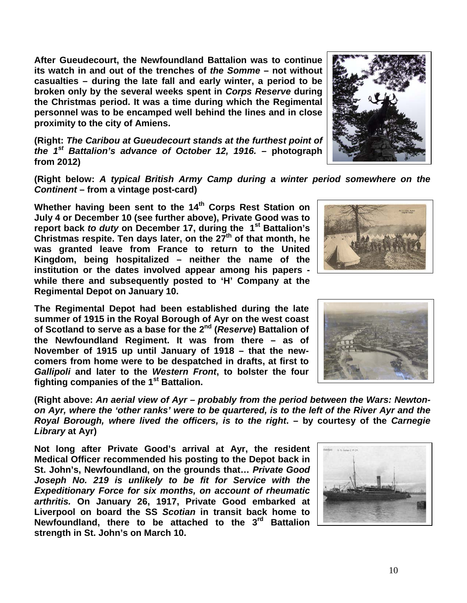**After Gueudecourt, the Newfoundland Battalion was to continue its watch in and out of the trenches of** *the Somme* **– not without casualties – during the late fall and early winter, a period to be broken only by the several weeks spent in** *Corps Reserve* **during the Christmas period. It was a time during which the Regimental personnel was to be encamped well behind the lines and in close proximity to the city of Amiens.**

**(Right:** *The Caribou at Gueudecourt stands at the furthest point of the 1st Battalion's advance of October 12, 1916.* **– photograph from 2012)**

**(Right below:** *A typical British Army Camp during a winter period somewhere on the Continent* **– from a vintage post-card)**

Whether having been sent to the 14<sup>th</sup> Corps Rest Station on **July 4 or December 10 (see further above), Private Good was to report back** *to duty* **on December 17, during the 1st Battalion's Christmas respite. Ten days later, on the 27th of that month, he was granted leave from France to return to the United Kingdom, being hospitalized – neither the name of the institution or the dates involved appear among his papers while there and subsequently posted to 'H' Company at the Regimental Depot on January 10.**

**The Regimental Depot had been established during the late summer of 1915 in the Royal Borough of Ayr on the west coast of Scotland to serve as a base for the 2nd (***Reserve***) Battalion of the Newfoundland Regiment. It was from there – as of November of 1915 up until January of 1918 – that the newcomers from home were to be despatched in drafts, at first to**  *Gallipoli* **and later to the** *Western Front***, to bolster the four fighting companies of the 1st Battalion.** 

**(Right above:** *An aerial view of Ayr – probably from the period between the Wars: Newtonon Ayr, where the 'other ranks' were to be quartered, is to the left of the River Ayr and the Royal Borough, where lived the officers, is to the right***. – by courtesy of the** *Carnegie Library* **at Ayr)**

**Not long after Private Good's arrival at Ayr, the resident Medical Officer recommended his posting to the Depot back in St. John's, Newfoundland, on the grounds that…** *Private Good Joseph No. 219 is unlikely to be fit for Service with the Expeditionary Force for six months, on account of rheumatic arthritis.* **On January 26, 1917, Private Good embarked at Liverpool on board the SS** *Scotian* **in transit back home to Newfoundland, there to be attached to the 3rd Battalion strength in St. John's on March 10.** 









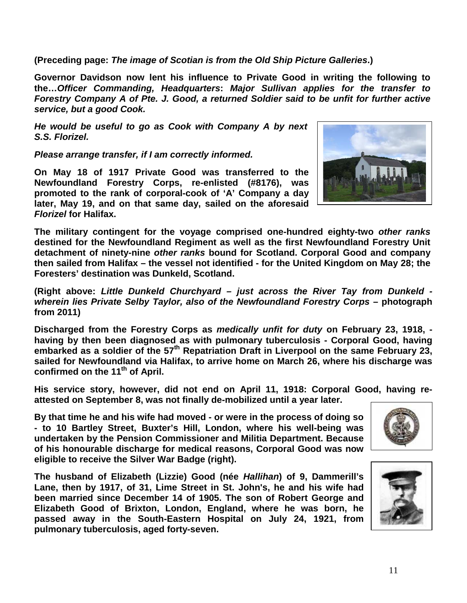**(Preceding page:** *The image of Scotian is from the Old Ship Picture Galleries***.)**

**Governor Davidson now lent his influence to Private Good in writing the following to the…***Officer Commanding, Headquarters***:** *Major Sullivan applies for the transfer to Forestry Company A of Pte. J. Good, a returned Soldier said to be unfit for further active service, but a good Cook.*

*He would be useful to go as Cook with Company A by next S.S. Florizel.*

*Please arrange transfer, if I am correctly informed.*

**On May 18 of 1917 Private Good was transferred to the Newfoundland Forestry Corps, re-enlisted (#8176), was promoted to the rank of corporal-cook of 'A' Company a day later, May 19, and on that same day, sailed on the aforesaid**  *Florizel* **for Halifax.** 



**The military contingent for the voyage comprised one-hundred eighty-two** *other ranks* **destined for the Newfoundland Regiment as well as the first Newfoundland Forestry Unit detachment of ninety-nine** *other ranks* **bound for Scotland. Corporal Good and company then sailed from Halifax – the vessel not identified - for the United Kingdom on May 28; the Foresters' destination was Dunkeld, Scotland.**

**(Right above:** *Little Dunkeld Churchyard – just across the River Tay from Dunkeld wherein lies Private Selby Taylor, also of the Newfoundland Forestry Corps* **– photograph from 2011)**

**Discharged from the Forestry Corps as** *medically unfit for duty* **on February 23, 1918, having by then been diagnosed as with pulmonary tuberculosis - Corporal Good, having embarked as a soldier of the 57th Repatriation Draft in Liverpool on the same February 23, sailed for Newfoundland via Halifax, to arrive home on March 26, where his discharge was confirmed on the 11th of April.**

**His service story, however, did not end on April 11, 1918: Corporal Good, having reattested on September 8, was not finally de-mobilized until a year later.**

**By that time he and his wife had moved - or were in the process of doing so - to 10 Bartley Street, Buxter's Hill, London, where his well-being was undertaken by the Pension Commissioner and Militia Department. Because of his honourable discharge for medical reasons, Corporal Good was now eligible to receive the Silver War Badge (right).**

**The husband of Elizabeth (Lizzie) Good (née** *Hallihan***) of 9, Dammerill's Lane, then by 1917, of 31, Lime Street in St. John's, he and his wife had been married since December 14 of 1905. The son of Robert George and Elizabeth Good of Brixton, London, England, where he was born, he passed away in the South-Eastern Hospital on July 24, 1921, from pulmonary tuberculosis, aged forty-seven.**